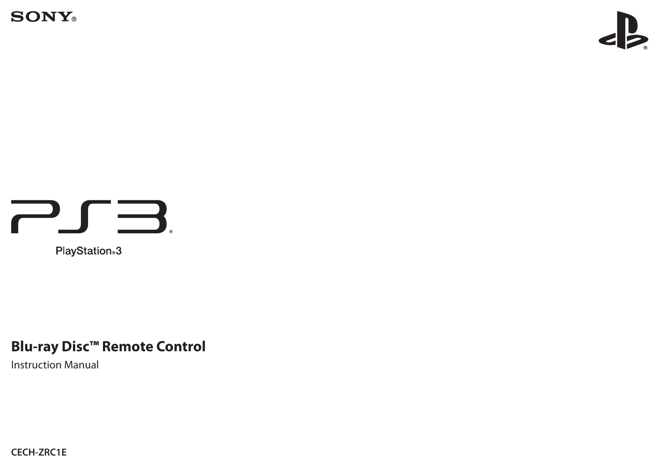**SONY**®



# PJB.

PlayStation<sup>®</sup>3

## **Blu-ray Disc™ Remote Control**

Instruction Manual

**CECH-ZRC1E**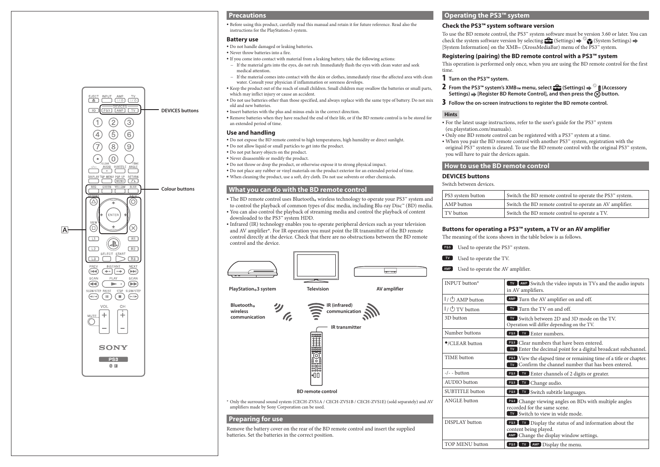

#### **Precautions**

ˎ Before using this product, carefully read this manual and retain it for future reference. Read also the instructions for the PlayStation® 3 system.

#### **Battery use**

- ˎ Do not handle damaged or leaking batteries.
- ˎ Never throw batteries into a fire.
- ˎ If you come into contact with material from a leaking battery, take the following actions:
- If the material gets into the eyes, do not rub. Immediately flush the eyes with clean water and seek medical attention.
- ˋ If the material comes into contact with the skin or clothes, immediately rinse the affected area with clean water. Consult your physician if inflammation or soreness develops.
- ˎ Keep the product out of the reach of small children. Small children may swallow the batteries or small parts, which may inflict injury or cause an accident.
- ˎ Do not use batteries other than those specified, and always replace with the same type of battery. Do not mix old and new batteries.
- ˎ Insert batteries with the plus and minus ends in the correct direction.
- ˎ Remove batteries when they have reached the end of their life, or if the BD remote control is to be stored for an extended period of time.

#### **Use and handling**

- ˎ Do not expose the BD remote control to high temperatures, high humidity or direct sunlight.
- ˎ Do not allow liquid or small particles to get into the product.
- ˎ Do not put heavy objects on the product.
- ˎ Never disassemble or modify the product.
- ˎ Do not throw or drop the product, or otherwise expose it to strong physical impact.
- ˎ Do not place any rubber or vinyl materials on the product exterior for an extended period of time.
- ˎ When cleaning the product, use a soft, dry cloth. Do not use solvents or other chemicals.

#### **What you can do with the BD remote control**

- The BD remote control uses Bluetooth® wireless technology to operate your PS3™ system and<br>the control the playbock of common times of disc modia, including Plu, rev. Diec™ (PD) modia
- to control the playback of common types of disc media, including Blu-ray Disc™ (BD) media. <sup>ˎ</sup> You can also control the playback of streaming media and control the playback of content downloaded to the PS3™ system HDD.

<sup>ˎ</sup> Infrared (IR) technology enables you to operate peripheral devices such as your television and AV amplifier\*. For IR operation you must point the IR transmitter of the BD remote control directly at the device. Check that there are no obstructions between the BD remote control and the device.

<u>| ....</u>





#### **BD remote control**

\* Only the surround sound system (CECH-ZVS1A / CECH-ZVS1B / CECH-ZVS1E) (sold separately) and AV amplifiers made by Sony Corporation can be used.

#### **Preparing for use**

Remove the battery cover on the rear of the BD remote control and insert the supplied batteries. Set the batteries in the correct position.

#### **Operating the PS3™ system**

#### **Check the PS3™ system software version**

To use the BD remote control, the PS3™ system software must be version 3.60 or later. You can check the system software version by selecting  $\Box$  (Settings)  $\rightarrow$  (System Settings)  $\rightarrow$ [System Information] on the XMB™ (XrossMediaBar) menu of the PS3™ system.

#### **Registering (pairing) the BD remote control with a PS3™ system**

This operation is performed only once, when you are using the BD remote control for the first time.

- 1 **Turn on the PS3™ system.**
- **2** From the PS3™ system's XMB™ menu, select  $\bigoplus$  (Settings)  $\Rightarrow$  **A** (Accessory Settings)  $\Rightarrow$  [Register BD Remote Control], and then press the  $\overline{\otimes}$  button.
- 3 **Follow the on-screen instructions to register the BD remote control.**

#### **Hints**

- <sup>ˎ</sup> For the latest usage instructions, refer to the user's guide for the PS3™ system (eu.playstation.com/manuals).
- <sup>ˎ</sup> Only one BD remote control can be registered with a PS3™ system at a time.
- <sup>ˎ</sup> When you pair the BD remote control with another PS3™ system, registration with the original PS3™ system is cleared. To use the BD remote control with the original PS3™ system, you will have to pair the devices again.

#### **How to use the BD remote control**

#### **DEVICES buttons**

Switch between devices.

| PS3 system button | Switch the BD remote control to operate the PS3 <sup>74</sup> system. |
|-------------------|-----------------------------------------------------------------------|
| AMP button        | Switch the BD remote control to operate an AV amplifier.              |
| TV button         | Switch the BD remote control to operate a TV.                         |

#### **Buttons for operating a PS3™ system, a TV or an AV amplifier**

The meaning of the icons shown in the table below is as follows.

- Used to operate the PS3™ system.
- Used to operate the TV.
- Used to operate the AV amplifier.

| INPUT button*                  | TV AMP Switch the video inputs in TVs and the audio inputs<br>in AV amplifiers.                                                   |
|--------------------------------|-----------------------------------------------------------------------------------------------------------------------------------|
| I/ <b>b</b> AMP button         | AMP Turn the AV amplifier on and off.                                                                                             |
| $1/\circlearrowleft$ TV button | <b>IV</b> Turn the TV on and off.                                                                                                 |
| 3D button                      | <b>TV</b> Switch between 2D and 3D mode on the TV.<br>Operation will differ depending on the TV.                                  |
| Number buttons                 | PS3 TV Enter numbers.                                                                                                             |
| ●/CLEAR button                 | <b>PS3</b> Clear numbers that have been entered.<br>TV Enter the decimal point for a digital broadcast subchannel.                |
| TIME button                    | PS3 View the elapsed time or remaining time of a title or chapter.<br><b>IV</b> Confirm the channel number that has been entered. |
| -/- - button                   | <b>PS3</b> TV Enter channels of 2 digits or greater.                                                                              |
| <b>AUDIO</b> button            | PS3<br><b>IV</b> Change audio.                                                                                                    |
| <b>SUBTITLE</b> button         | PS3 TV Switch subtitle languages.                                                                                                 |
| <b>ANGLE</b> button            | PS3 Change viewing angles on BDs with multiple angles<br>recorded for the same scene.<br><b>TV</b> Switch to view in wide mode.   |
| DISPLAY button                 | <b>PS3</b> TV Display the status of and information about the<br>content being played.<br>AMP Change the display window settings. |
| TOP MENU button                | PS3 TV AMP Display the menu.                                                                                                      |

**Bluetooth® wireless communication**

**PlayStation®3 system Television AV amplifier**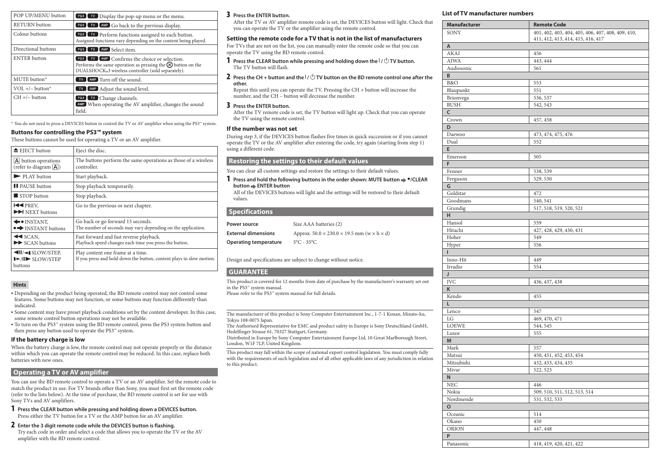| POP UP/MENU button   | <b>PS3</b> TV Display the pop-up menu or the menu.                                                                                                                               |
|----------------------|----------------------------------------------------------------------------------------------------------------------------------------------------------------------------------|
| <b>RETURN</b> button | PS3 TV AMP Go back to the previous display.                                                                                                                                      |
| Colour buttons       | <b>PS3</b> TV Perform functions assigned to each button.<br>Assigned functions vary depending on the content being played.                                                       |
| Directional buttons  | PS3 TV AMP Select item.                                                                                                                                                          |
| <b>ENTER</b> button  | <b>PS3</b> TV AMP Confirms the choice or selection.<br>Performs the same operation as pressing the $\otimes$ button on the<br>DUALSHOCK®3 wireless controller (sold separately). |
| MUTE button*         | TV AMP Turn off the sound.                                                                                                                                                       |
| VOL $+/-$ button*    | <b>TV</b> AMP Adjust the sound level.                                                                                                                                            |
| $CH +/-$ button      | <b>PS3</b> TV Change channels.<br>AMP When operating the AV amplifier, changes the sound<br>field.                                                                               |

\* You do not need to press a DEVICES button to control the TV or AV amplifier when using the PS3™ system.

#### **Buttons for controlling the PS3™ system**

These buttons cannot be used for operating a TV or an AV amplifier.

| $\triangle$ EJECT button                                      | Eject the disc.                                                                                           |
|---------------------------------------------------------------|-----------------------------------------------------------------------------------------------------------|
| $ A $ button operations<br>(refer to diagram $\overline{A}$ ) | The buttons perform the same operations as those of a wireless<br>controller.                             |
| $\blacktriangleright$ PLAY button                             | Start playback.                                                                                           |
| <b>II</b> PAUSE button                                        | Stop playback temporarily.                                                                                |
| $\blacksquare$ STOP button                                    | Stop playback.                                                                                            |
| <b>EXPREV.</b><br>$\blacktriangleright$ NEXT buttons          | Go to the previous or next chapter.                                                                       |
| $\leftarrow$ INSTANT.<br>• INSTANT buttons                    | Go back or go forward 15 seconds.<br>The number of seconds may vary depending on the application.         |
| $\triangleleft$ SCAN.<br>$\blacktriangleright$ SCAN buttons   | Fast forward and fast reverse playback.<br>Playback speed changes each time you press the button.         |
| <b>II/-ISLOW/STEP,</b><br>$I > II$ SLOW/STEP<br>buttons       | Play content one frame at a time.<br>If you press and hold down the button, content plays in slow motion. |

#### **Hints**

- <sup>ˎ</sup> Depending on the product being operated, the BD remote control may not control some features. Some buttons may not function, or some buttons may function differently than indicated.
- <sup>ˎ</sup> Some content may have preset playback conditions set by the content developer. In this case, some remote control button operations may not be available.
- <sup>ˎ</sup> To turn on the PS3™ system using the BD remote control, press the PS3 system button and then press any button used to operate the PS3™ system.

#### **If the battery charge is low**

When the battery charge is low, the remote control may not operate properly or the distance within which you can operate the remote control may be reduced. In this case, replace both batteries with new ones.

#### **Operating a TV or AV amplifier**

You can use the BD remote control to operate a TV or an AV amplifier. Set the remote code to match the product in use. For TV brands other than Sony, you must first set the remote code (refer to the lists below). At the time of purchase, the BD remote control is set for use with Sony TVs and AV amplifiers.

1 **Press the CLEAR button while pressing and holding down a DEVICES button.** Press either the TV button for a TV or the AMP button for an AV amplifier.

#### 2 **Enter the 3 digit remote code while the DEVICES button is flashing.**

Try each code in order and select a code that allows you to operate the TV or the AV amplifier with the BD remote control.

#### 3 **Press the ENTER button.**

After the TV or AV amplifier remote code is set, the DEVICES button will light. Check that you can operate the  $TV$  or the amplifier using the remote control.

#### **Setting the remote code for a TV that is not in the list of manufacturers**

For TVs that are not on the list, you can manually enter the remote code so that you can operate the TV using the BD remote control.

**1** Press the CLEAR button while pressing and holding down the  $\frac{1}{\cup}$  TV button. The TV button will flash.

**2** Press the CH + button and the  $I/(1)$  TV button on the BD remote control one after the **other.**

Repeat this until you can operate the TV. Pressing the CH + button will increase the number, and the CH – button will decrease the number.

#### 3 **Press the ENTER button.**

After the TV remote code is set, the TV button will light up. Check that you can operate the TV using the remote control.

#### **If the number was not set**

During step 3, if the DEVICES button flashes five times in quick succession or if you cannot operate the TV or the AV amplifier after entering the code, try again (starting from step 1) using a different code.

#### **Restoring the settings to their default values**

You can clear all custom settings and restore the settings to their default values.

#### 1 **Press and hold the following buttons in the order shown: MUTE button /CLEAR button ENTER button**

All of the DEVICES buttons will light and the settings will be restored to their default values.

#### **Specifications**

| Power source                 | Size AAA batteries (2)                                               |
|------------------------------|----------------------------------------------------------------------|
| <b>External dimensions</b>   | Approx. $50.0 \times 230.0 \times 19.5$ mm (w $\times$ h $\times$ d) |
| <b>Operating temperature</b> | $5^{\circ}$ C - 35°C                                                 |

Design and specifications are subject to change without notice.

#### **GUARANTEE**

This product is covered for 12 months from date of purchase by the manufacturer's warranty set out in the PS3™ system manual.

Please refer to the PS3<sup>™</sup> system manual for full details.

The manufacturer of this product is Sony Computer Entertainment Inc., 1-7-1 Konan, Minato-ku, Tokyo 108-0075 Japan.

The Authorised Representative for EMC and product safety in Europe is Sony Deutschland GmbH, Hedelfinger Strasse 61, 70327 Stuttgart, Germany.

Distributed in Europe by Sony Computer Entertainment Europe Ltd, 10 Great Marlborough Street, London, W1F 7LP, United Kingdom.

This product may fall within the scope of national export control legislation. You must comply fully with the requirements of such legislation and of all other applicable laws of any jurisdiction in relation to this product.

#### **List of TV manufacturer numbers**

| <b>Manufacturer</b> | <b>Remote Code</b>                                                                     |
|---------------------|----------------------------------------------------------------------------------------|
| SONY                | 401, 402, 403, 404, 405, 406, 407, 408, 409, 410,<br>411, 412, 413, 414, 415, 416, 417 |
| A                   |                                                                                        |
| AKAI                | 456                                                                                    |
| <b>AIWA</b>         | 443, 444                                                                               |
| Audiosonic          | 561                                                                                    |
| B                   |                                                                                        |
| B&O                 | 553                                                                                    |
| Blaupunkt           | 551                                                                                    |
| Brionvega           | 536, 537                                                                               |
| <b>BUSH</b>         | 542, 543                                                                               |
| c                   |                                                                                        |
| Crown               | 457, 458                                                                               |
| D                   |                                                                                        |
| Daewoo              | 473, 474, 475, 476                                                                     |
| Dual                | 552                                                                                    |
| E                   |                                                                                        |
| Emerson             | 505                                                                                    |
| F                   |                                                                                        |
| Fenner              | 538, 539                                                                               |
|                     | 529, 530                                                                               |
| Ferguson<br>G       |                                                                                        |
| Goldstar            | 472                                                                                    |
|                     |                                                                                        |
| Goodmans            | 540, 541                                                                               |
| Grundig             | 517, 518, 519, 520, 521                                                                |
| н                   |                                                                                        |
| Hansol<br>Hitachi   | 559                                                                                    |
|                     | 427, 428, 429, 430, 431                                                                |
| Hoher               | 549                                                                                    |
| Hyper               | 556                                                                                    |
| L                   |                                                                                        |
| Inno-Hit            | 449                                                                                    |
| Irradio             | 554                                                                                    |
| J                   |                                                                                        |
| JVC                 | 436, 437, 438                                                                          |
| Κ                   |                                                                                        |
| Kendo               | 455                                                                                    |
| L                   |                                                                                        |
| Lenco               | 547                                                                                    |
| LG                  | 469, 470, 471                                                                          |
| <b>LOEWE</b>        | 544, 545                                                                               |
| Luxor               | 555                                                                                    |
| M                   |                                                                                        |
| Mark                | 557                                                                                    |
| Matsui              | 450, 451, 452, 453, 454                                                                |
| Mitsubishi          | 432, 433, 434, 435                                                                     |
| Mivar               | 522, 523                                                                               |
| N                   |                                                                                        |
| <b>NEC</b>          | 446                                                                                    |
| Nokia               | 509, 510, 511, 512, 513, 514                                                           |
| Nordmende           | 531, 532, 533                                                                          |
| $\mathsf{o}$        |                                                                                        |
| Oceanic             | 514                                                                                    |
| Okano               | 450                                                                                    |
| <b>ORION</b>        | 447, 448                                                                               |
| P                   |                                                                                        |
| Panasonic           | 418, 419, 420, 421, 422                                                                |